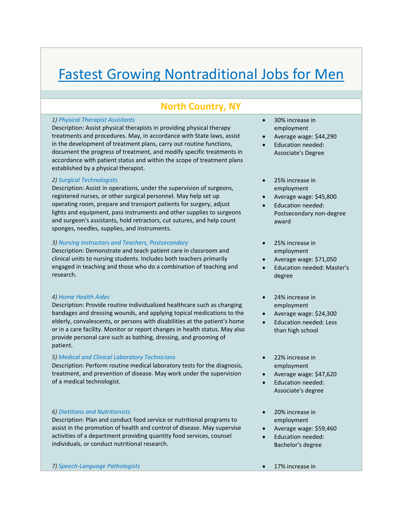# Fastest Growing Nontraditional Jobs for Men

## **North Country, NY**

#### *1) Physical Therapist Assistants*

Description: Assist physical therapists in providing physical therapy treatments and procedures. May, in accordance with State laws, assist in the development of treatment plans, carry out routine functions, document the progress of treatment, and modify specific treatments in accordance with patient status and within the scope of treatment plans established by a physical therapist.

#### *2) Surgical Technologists*

Description: Assist in operations, under the supervision of surgeons, registered nurses, or other surgical personnel. May help set up operating room, prepare and transport patients for surgery, adjust lights and equipment, pass instruments and other supplies to surgeons and surgeon's assistants, hold retractors, cut sutures, and help count sponges, needles, supplies, and instruments.

### *3) Nursing Instructors and Teachers, Postsecondary*

Description: Demonstrate and teach patient care in classroom and clinical units to nursing students. Includes both teachers primarily engaged in teaching and those who do a combination of teaching and research.

#### *4) Home Health Aides*

Description: Provide routine individualized healthcare such as changing bandages and dressing wounds, and applying topical medications to the elderly, convalescents, or persons with disabilities at the patient's home or in a care facility. Monitor or report changes in health status. May also provide personal care such as bathing, dressing, and grooming of patient.

#### *5) Medical and Clinical Laboratory Technicians*

Description: Perform routine medical laboratory tests for the diagnosis, treatment, and prevention of disease. May work under the supervision of a medical technologist.

#### *6) Dietitians and Nutritionists*

Description: Plan and conduct food service or nutritional programs to assist in the promotion of health and control of disease. May supervise activities of a department providing quantity food services, counsel individuals, or conduct nutritional research.

- 30% increase in employment
- Average wage: \$44,290
- Education needed: Associate's Degree
- 25% increase in employment
- Average wage: \$45,800
- Education needed: Postsecondary non‐degree award
- 25% increase in employment
- Average wage: \$71,050
- Education needed: Master's degree
- 24% increase in employment
- Average wage: \$24,300
- Education needed: Less than high school
- 22% increase in employment
- Average wage: \$47,620
- Education needed: Associate's degree
- 20% increase in employment
- Average wage: \$59,460
- Education needed: Bachelor's degree
- *7) Speech‐Language Pathologists* 17% increase in